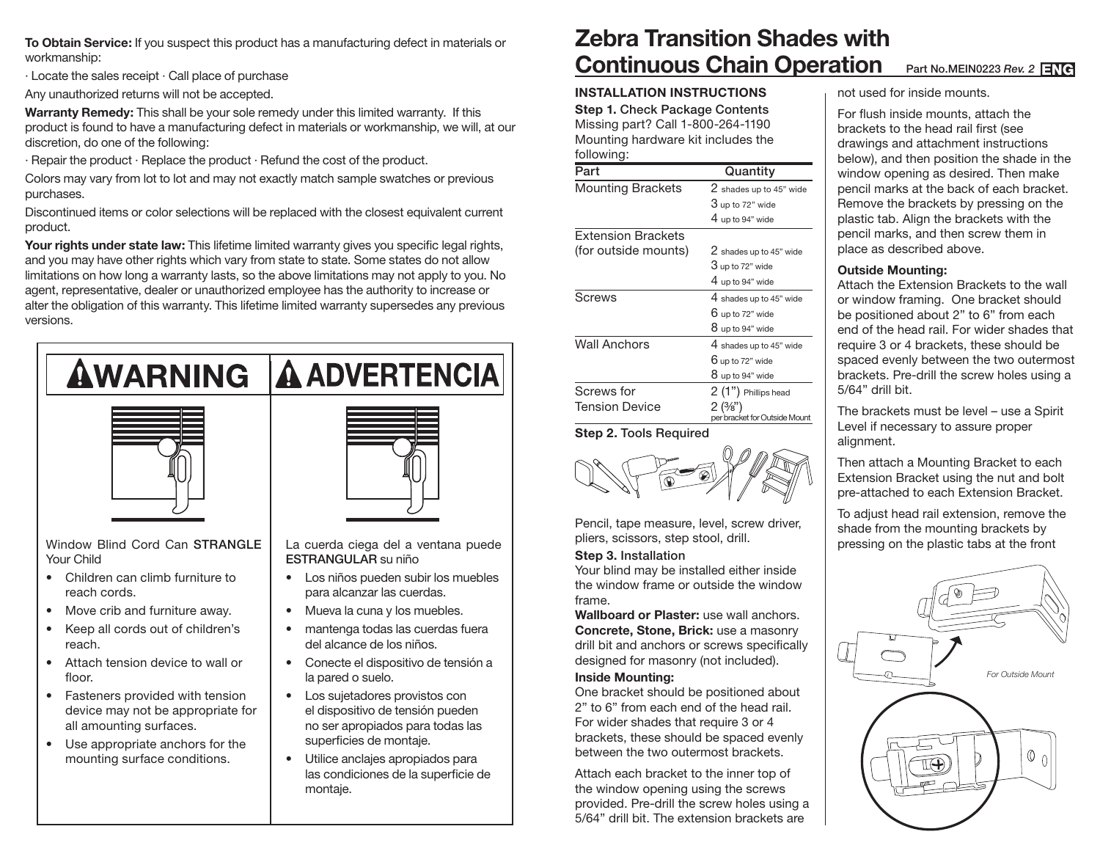**To Obtain Service:** If you suspect this product has a manufacturing defect in materials or workmanship:

· Locate the sales receipt · Call place of purchase

Any unauthorized returns will not be accepted.

**Warranty Remedy:** This shall be your sole remedy under this limited warranty. If this product is found to have a manufacturing defect in materials or workmanship, we will, at our discretion, do one of the following:

· Repair the product · Replace the product · Refund the cost of the product.

Colors may vary from lot to lot and may not exactly match sample swatches or previous purchases.

Discontinued items or color selections will be replaced with the closest equivalent current product.

Your rights under state law: This lifetime limited warranty gives you specific legal rights, and you may have other rights which vary from state to state. Some states do not allow limitations on how long a warranty lasts, so the above limitations may not apply to you. No agent, representative, dealer or unauthorized employee has the authority to increase or alter the obligation of this warranty. This lifetime limited warranty supersedes any previous versions.



no ser apropiados para todas las

superficies de montaje. • Utilice anclajes apropiados para las condiciones de la superficie de

montaje.

# **Zebra Transition Shades with Continuous Chain Operation** Part No.MEIN0223 *Rev. 2* ENG

## **INSTALLATION INSTRUCTIONS**

**Step 1.** Check Package Contents Missing part? Call 1-800-264-1190 Mounting hardware kit includes the following:

| Part                      | Quantity                      |
|---------------------------|-------------------------------|
| <b>Mounting Brackets</b>  | 2 shades up to 45" wide       |
|                           | $3$ up to 72" wide            |
|                           | 4 up to 94" wide              |
| <b>Extension Brackets</b> |                               |
| (for outside mounts)      | 2 shades up to 45" wide       |
|                           | $3$ up to 72" wide            |
|                           | 4 up to 94" wide              |
| Screws                    | 4 shades up to 45" wide       |
|                           | $6$ up to 72" wide            |
|                           | $8$ up to 94" wide            |
| Wall Anchors              | 4 shades up to 45" wide       |
|                           | $6$ up to 72" wide            |
|                           | $8$ up to 94" wide            |
| Screws for                | 2 (1") Phillips head          |
| <b>Tension Device</b>     | 2(3/8")                       |
|                           | per bracket for Outside Mount |

**Step 2.** Tools Required



Pencil, tape measure, level, screw driver, pliers, scissors, step stool, drill.

## **Step 3.** Installation

Your blind may be installed either inside the window frame or outside the window frame.

**Wallboard or Plaster:** use wall anchors. **Concrete, Stone, Brick:** use a masonry drill bit and anchors or screws specifically designed for masonry (not included).

## **Inside Mounting:**

One bracket should be positioned about 2" to 6" from each end of the head rail. For wider shades that require 3 or 4 brackets, these should be spaced evenly between the two outermost brackets.

Attach each bracket to the inner top of the window opening using the screws provided. Pre-drill the screw holes using a 5/64" drill bit. The extension brackets are

not used for inside mounts.

For flush inside mounts, attach the brackets to the head rail first (see drawings and attachment instructions below), and then position the shade in the window opening as desired. Then make pencil marks at the back of each bracket. Remove the brackets by pressing on the plastic tab. Align the brackets with the pencil marks, and then screw them in place as described above.

# **Outside Mounting:**

Attach the Extension Brackets to the wall or window framing. One bracket should be positioned about 2" to 6" from each end of the head rail. For wider shades that require 3 or 4 brackets, these should be spaced evenly between the two outermost brackets. Pre-drill the screw holes using a 5/64" drill bit.

The brackets must be level – use a Spirit Level if necessary to assure proper alignment.

Then attach a Mounting Bracket to each Extension Bracket using the nut and bolt pre-attached to each Extension Bracket.

To adjust head rail extension, remove the shade from the mounting brackets by pressing on the plastic tabs at the front



- device may not be appropriate for all amounting surfaces.
- Use appropriate anchors for the mounting surface conditions.